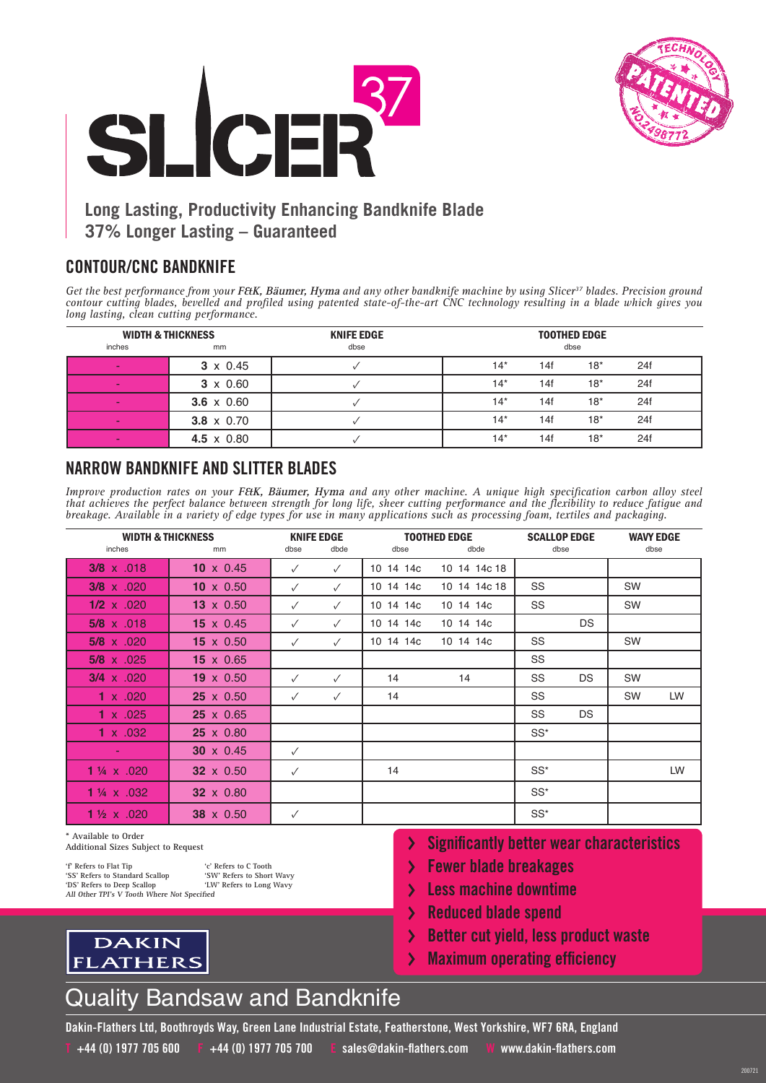



# **Long Lasting, Productivity Enhancing Bandknife Blade 37% Longer Lasting – Guaranteed**

#### **CONTOUR/CNC BANDKNIFE**

Get the best performance from your FEtK, Bäumer, Hyma and any other bandknife machine by using Slicer<sup>37</sup> blades. Precision ground *contour cutting blades, bevelled and profiled using patented state-of-the-art CNC technology resulting in a blade which gives you long lasting, clean cutting performance.*

| <b>WIDTH &amp; THICKNESS</b> |                   | <b>KNIFE EDGE</b> | <b>TOOTHED EDGE</b> |      |       |     |  |
|------------------------------|-------------------|-------------------|---------------------|------|-------|-----|--|
| inches                       | mm                | dbse              |                     | dbse |       |     |  |
|                              | $3 \times 0.45$   |                   | $14*$               | 14f  | $18*$ | 24f |  |
|                              | $3 \times 0.60$   |                   | $14*$               | 14f  | $18*$ | 24f |  |
|                              | $3.6 \times 0.60$ |                   | $14*$               | 14f  | $18*$ | 24f |  |
|                              | $3.8 \times 0.70$ |                   | $14*$               | 14f  | $18*$ | 24f |  |
|                              | 4.5 $\times$ 0.80 |                   | $14*$               | 14f  | $18*$ | 24f |  |

### **NARROW BANDKNIFE AND SLITTER BLADES**

*Improve production rates on your* **F&K, Bäumer, Hyma** *and any other machine. A unique high specification carbon alloy steel that achieves the perfect balance between strength for long life, sheer cutting performance and the flexibility to reduce fatigue and breakage. Available in a variety of edge types for use in many applications such as processing foam, textiles and packaging.*

| <b>WIDTH &amp; THICKNESS</b> |                  | <b>KNIFE EDGE</b> |              | <b>TOOTHED EDGE</b> | <b>SCALLOP EDGE</b> |        | <b>WAVY EDGE</b> |           |    |
|------------------------------|------------------|-------------------|--------------|---------------------|---------------------|--------|------------------|-----------|----|
| inches                       | mm               | dbse              | dbde         | dbse                | dbde                | dbse   |                  | dbse      |    |
| $3/8 \times .018$            | 10 $\times$ 0.45 | $\checkmark$      | $\checkmark$ | 10 14 14c           | 10 14 14c 18        |        |                  |           |    |
| $3/8 \times 0.020$           | 10 $\times$ 0.50 | $\checkmark$      | $\checkmark$ | 10 14 14c           | 10 14 14c 18        | SS     |                  | <b>SW</b> |    |
| $1/2 \times .020$            | $13 \times 0.50$ | $\checkmark$      | $\checkmark$ | 10 14 14c           | 10 14 14c           | SS     |                  | SW        |    |
| $5/8 \times .018$            | 15 $\times$ 0.45 | $\checkmark$      | $\checkmark$ | 10 14 14c           | 10 14 14c           |        | DS.              |           |    |
| $5/8 \times .020$            | $15 \times 0.50$ | $\checkmark$      | $\checkmark$ | 10 14 14c           | 10 14 14c           | SS     |                  | SW        |    |
| $5/8 \times .025$            | $15 \times 0.65$ |                   |              |                     |                     | SS     |                  |           |    |
| $3/4 \times .020$            | $19 \times 0.50$ | $\checkmark$      | $\checkmark$ | 14                  | 14                  | SS     | DS.              | <b>SW</b> |    |
| 1 $\times$ .020              | $25 \times 0.50$ | $\checkmark$      | $\checkmark$ | 14                  |                     | SS     |                  | SW        | LW |
| 1 $\times$ .025              | $25 \times 0.65$ |                   |              |                     |                     | SS     | <b>DS</b>        |           |    |
| $1 \times .032$              | $25 \times 0.80$ |                   |              |                     |                     | $SS^*$ |                  |           |    |
|                              | $30 \times 0.45$ | $\checkmark$      |              |                     |                     |        |                  |           |    |
| 1 $\frac{1}{4}$ x .020       | $32 \times 0.50$ | $\checkmark$      |              | 14                  |                     | $SS^*$ |                  |           | LW |
| $1\frac{1}{4}$ x .032        | 32 x 0.80        |                   |              |                     |                     | $SS^*$ |                  |           |    |
| 1 $\frac{1}{2}$ x .020       | 38 x 0.50        | $\checkmark$      |              |                     |                     | $SS^*$ |                  |           |    |

**\* Available to Order**

FI

**Additional Sizes Subject to Request**

**DAKIN** 

ATHERS

**'f'** Refers to Flat Tip **'c'** Refers to C Tooth<br>'SS' Refers to Standard Scallop 'SW' Refers to Short Wavy<br>'DS' Refers to Deep Scallop 'LW' Refers to Long Wavy **'SS' Refers to Standard Scallop 'SW' Refers to Short Wavy 'DS' Refers to Deep Scallop 'LW' Refers to Long Wavy All Other TPI's V Tooth Where Not Specified**

- **Significantly better wear characteristics**
- **Fewer blade breakages**
- **Less machine downtime**   $\mathbf{\lambda}$
- $\mathbf{\Sigma}$ **Reduced blade spend**
- $\overline{\phantom{0}}$ **Better cut yield, less product waste**

200721

**Maximum operating efficiency**  $\mathcal Y$ 



**Dakin-Flathers Ltd, Boothroyds Way, Green Lane Industrial Estate, Featherstone, West Yorkshire, WF7 6RA, England** 

**T +44 (0) 1977 705 600 F +44 (0) 1977 705 700 E sales@dakin-flathers.com W www.dakin-flathers.com**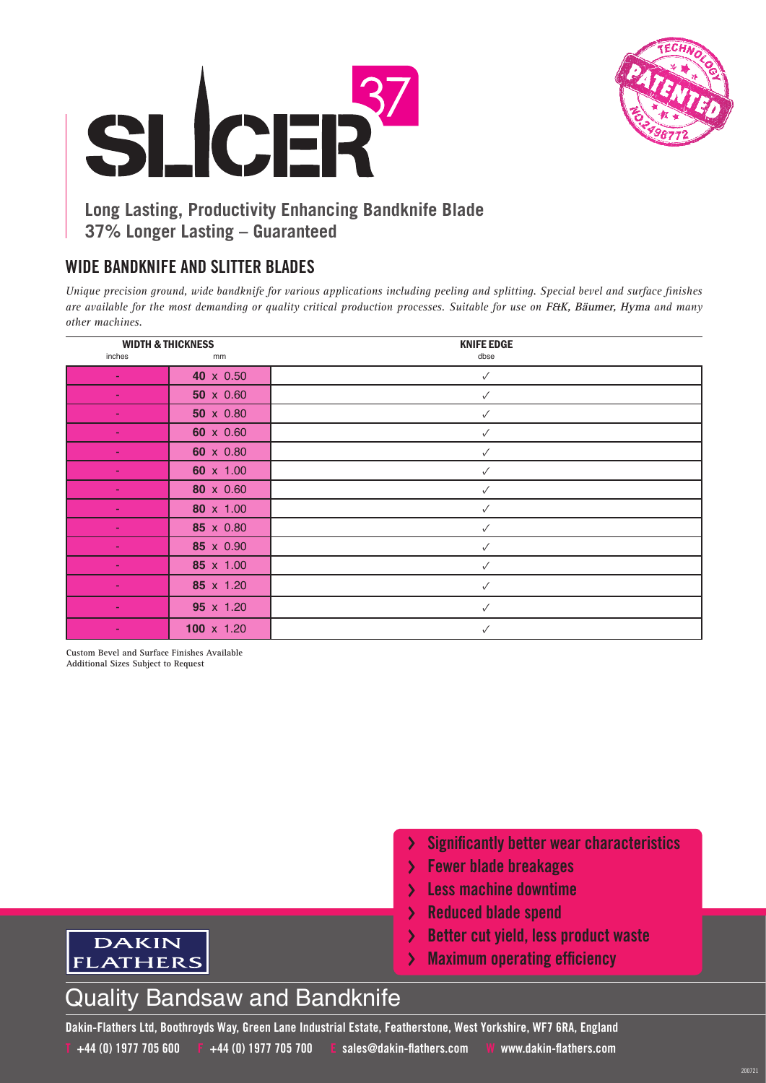



# **Long Lasting, Productivity Enhancing Bandknife Blade 37% Longer Lasting – Guaranteed**

### **WIDE BANDKNIFE AND SLITTER BLADES**

*Unique precision ground, wide bandknife for various applications including peeling and splitting. Special bevel and surface finishes are available for the most demanding or quality critical production processes. Suitable for use on* **F&K, Bäumer, Hyma** *and many other machines.*

| <b>WIDTH &amp; THICKNESS</b> |                   | <b>KNIFE EDGE</b> |
|------------------------------|-------------------|-------------------|
| inches                       | mm                | dbse              |
| ÷                            | 40 x 0.50         | $\checkmark$      |
|                              | $50 \times 0.60$  | ✓                 |
| ٠                            | 50 x 0.80         | ✓                 |
| ٠                            | 60 x 0.60         | $\checkmark$      |
|                              | 60 x 0.80         | ✓                 |
| ٠                            | 60 x 1.00         | ✓                 |
| ٠                            | 80 x 0.60         | $\checkmark$      |
|                              | 80 x 1.00         | ✓                 |
| ÷                            | 85 x 0.80         | ✓                 |
| ÷                            | 85 x 0.90         | $\checkmark$      |
|                              | 85 x 1.00         | ✓                 |
| ٠                            | 85 x 1.20         | $\checkmark$      |
| ÷                            | 95 x 1.20         | ✓                 |
|                              | $100 \times 1.20$ | ✓                 |

**Custom Bevel and Surface Finishes Available Additional Sizes Subject to Request**

DAKIN **FLATHERS** 

- **Significantly better wear characteristics**
- **Fewer blade breakages**
- **Less machine downtime**
- **Reduced blade spend**  $\sum$
- **Better cut yield, less product waste**  $\sum_{i=1}^{n}$

200721

**Maximum operating efficiency**  $\sum$ 

# Quality Bandsaw and Bandknife

**Dakin-Flathers Ltd, Boothroyds Way, Green Lane Industrial Estate, Featherstone, West Yorkshire, WF7 6RA, England T +44 (0) 1977 705 600 F +44 (0) 1977 705 700 E sales@dakin-flathers.com W www.dakin-flathers.com**